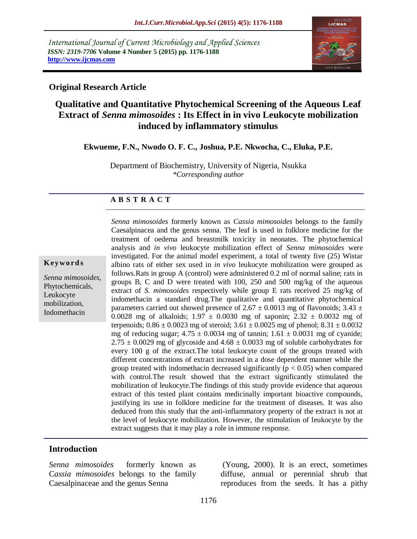*International Journal of Current Microbiology and Applied Sciences ISSN: 2319-7706* **Volume 4 Number 5 (2015) pp. 1176-1188 http://www.ijcmas.com** 



### **Original Research Article**

# **Qualitative and Quantitative Phytochemical Screening of the Aqueous Leaf Extract of** *Senna mimosoides* **: Its Effect in in vivo Leukocyte mobilization induced by inflammatory stimulus**

**Ekwueme, F.N., Nwodo O. F. C., Joshua, P.E. Nkwocha, C., Eluka, P.E.**

Department of Biochemistry, University of Nigeria, Nsukka *\*Corresponding author*

#### **A B S T R A C T**

#### **K ey w o rd s**

*Senna mimosoides*, Phytochemicals, Leukocyte mobilization, Indomethacin

*Senna mimosoides* formerly known as *Cassia mimosoides* belongs to the family Caesalpinacea and the genus senna. The leaf is used in folklore medicine for the treatment of oedema and breastmilk toxicity in neonates. The phytochemical analysis and *in vivo* leukocyte mobilization effect of *Senna mimosoides* were investigated. For the animal model experiment, a total of twenty five (25) Wistar albino rats of either sex used in *in vivo* leukocyte mobilization were grouped as follows.Rats in group A (control) were administered 0.2 ml of normal saline; rats in groups B, C and D were treated with 100, 250 and 500 mg/kg of the aqueous extract of *S. mimosoides* respectively while group E rats received 25 mg/kg of indomethacin a standard drug.The qualitative and quantitative phytochemical parameters carried out showed presence of 2.67  $\pm$  0.0013 mg of flavonoids; 3.43  $\pm$ 0.0028 mg of alkaloids;  $1.97 \pm 0.0030$  mg of saponin;  $2.32 \pm 0.0032$  mg of terpenoids;  $0.86 \pm 0.0023$  mg of steroid;  $3.61 \pm 0.0025$  mg of phenol;  $8.31 \pm 0.0032$ mg of reducing sugar;  $4.75 \pm 0.0034$  mg of tannin;  $1.61 \pm 0.0031$  mg of cyanide;  $2.75 \pm 0.0029$  mg of glycoside and  $4.68 \pm 0.0033$  mg of soluble carbohydrates for every 100 g of the extract.The total leukocyte count of the groups treated with different concentrations of extract increased in a dose dependent manner while the group treated with indomethacin decreased significantly ( $p < 0.05$ ) when compared with control.The result showed that the extract significantly stimulated the mobilization of leukocyte.The findings of this study provide evidence that aqueous extract of this tested plant contains medicinally important bioactive compounds, justifying its use in folklore medicine for the treatment of diseases. It was also deduced from this study that the anti-inflammatory property of the extract is not at the level of leukocyte mobilization. However, the stimulation of leukocyte by the extract suggests that it may play a role in immune response.

### **Introduction**

*Senna mimosoides* formerly known as C*assia mimosoides* belongs to the family Caesalpinaceae and the genus Senna

(Young, 2000). It is an erect, sometimes diffuse, annual or perennial shrub that reproduces from the seeds. It has a pithy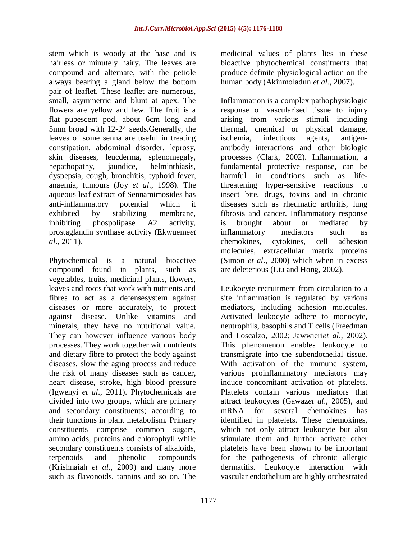stem which is woody at the base and is hairless or minutely hairy. The leaves are compound and alternate, with the petiole always bearing a gland below the bottom pair of leaflet. These leaflet are numerous, small, asymmetric and blunt at apex. The flowers are yellow and few. The fruit is a flat pubescent pod, about 6cm long and 5mm broad with 12-24 seeds.Generally, the leaves of some senna are useful in treating constipation, abdominal disorder, leprosy, skin diseases, leucderma, splenomegaly, hepathopathy, jaundice, helminthiasis, dyspepsia, cough, bronchitis, typhoid fever, anaemia, tumours (Joy *et al*., 1998). The aqueous leaf extract of Sennamimosides has anti-inflammatory potential which it exhibited by stabilizing membrane, inhibiting phospolipase A2 activity, prostaglandin synthase activity (Ekwueme*et al*., 2011).

Phytochemical is a natural bioactive compound found in plants, such as vegetables, fruits, medicinal plants, flowers, leaves and roots that work with nutrients and fibres to act as a defensesystem against diseases or more accurately, to protect against disease. Unlike vitamins and minerals, they have no nutritional value. They can however influence various body processes. They work together with nutrients and dietary fibre to protect the body against diseases, slow the aging process and reduce the risk of many diseases such as cancer, heart disease, stroke, high blood pressure (Igwenyi *et al*., 2011). Phytochemicals are divided into two groups, which are primary and secondary constituents; according to their functions in plant metabolism. Primary constituents comprise common sugars, amino acids, proteins and chlorophyll while secondary constituents consists of alkaloids, terpenoids and phenolic compounds (Krishnaiah *et al*., 2009) and many more such as flavonoids, tannins and so on. The

medicinal values of plants lies in these bioactive phytochemical constituents that produce definite physiological action on the human body (Akinmoladun *et al.*, 2007).

Inflammation is a complex pathophysiologic response of vascularised tissue to injury arising from various stimuli including thermal, cnemical or physical damage, ischemia, infectious agents, antigenantibody interactions and other biologic processes (Clark, 2002). Inflammation, a fundamental protective response, can be harmful in conditions such as lifethreatening hyper-sensitive reactions to insect bite, drugs, toxins and in chronic diseases such as rheumatic arthritis, lung fibrosis and cancer. Inflammatory response is brought about or mediated by inflammatory mediators such as chemokines, cytokines, cell adhesion molecules, extracellular matrix proteins (Simon *et al*., 2000) which when in excess are deleterious (Liu and Hong, 2002).

Leukocyte recruitment from circulation to a site inflammation is regulated by various mediators, including adhesion molecules. Activated leukocyte adhere to monocyte, neutrophils, basophils and T cells (Freedman and Loscalzo, 2002; Jawwieri*et al*., 2002). This phenomenon enables leukocyte to transmigrate into the subendothelial tissue. With activation of the immune system, various proinflammatory mediators may induce concomitant activation of platelets. Platelets contain various mediators that attract leukocytes (Gawaz*et al*., 2005), and mRNA for several chemokines has identified in platelets. These chemokines, which not only attract leukocyte but also stimulate them and further activate other platelets have been shown to be important for the pathogenesis of chronic allergic dermatitis. Leukocyte interaction with vascular endothelium are highly orchestrated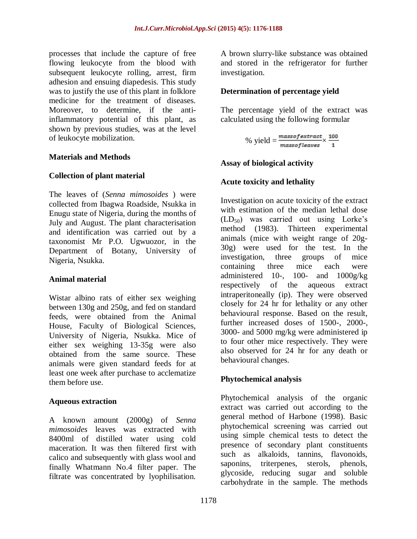processes that include the capture of free flowing leukocyte from the blood with subsequent leukocyte rolling, arrest, firm adhesion and ensuing diapedesis. This study was to justify the use of this plant in folklore medicine for the treatment of diseases. Moreover, to determine, if the antiinflammatory potential of this plant, as shown by previous studies, was at the level of leukocyte mobilization.

#### **Materials and Methods**

#### **Collection of plant material**

The leaves of (*Senna mimosoides* ) were collected from Ibagwa Roadside, Nsukka in Enugu state of Nigeria, during the months of July and August. The plant characterisation and identification was carried out by a taxonomist Mr P.O. Ugwuozor, in the Department of Botany, University of Nigeria, Nsukka.

#### **Animal material**

Wistar albino rats of either sex weighing between 130g and 250g, and fed on standard feeds, were obtained from the Animal House, Faculty of Biological Sciences, University of Nigeria, Nsukka. Mice of either sex weighing 13-35g were also obtained from the same source. These animals were given standard feeds for at least one week after purchase to acclematize them before use.

#### **Aqueous extraction**

A known amount (2000g) of *Senna mimosoides* leaves was extracted with 8400ml of distilled water using cold maceration. It was then filtered first with calico and subsequently with glass wool and finally Whatmann No.4 filter paper. The filtrate was concentrated by lyophilisation.

A brown slurry-like substance was obtained and stored in the refrigerator for further investigation.

### **Determination of percentage yield**

The percentage yield of the extract was calculated using the following formular

% yield =  $\frac{massofextract}{massofleaves} \times \frac{100}{1}$ 

### **Assay of biological activity**

### **Acute toxicity and lethality**

Investigation on acute toxicity of the extract with estimation of the median lethal dose  $(LD_{50})$  was carried out using Lorke's method (1983). Thirteen experimental animals (mice with weight range of 20g-30g) were used for the test. In the investigation, three groups of mice containing three mice each were administered 10-, 100- and  $1000g/kg$ respectively of the aqueous extract intraperitoneally (ip). They were observed closely for 24 hr for lethality or any other behavioural response. Based on the result, further increased doses of 1500-, 2000-, 3000- and 5000 mg/kg were administered ip to four other mice respectively. They were also observed for 24 hr for any death or behavioural changes.

### **Phytochemical analysis**

Phytochemical analysis of the organic extract was carried out according to the general method of Harbone (1998). Basic phytochemical screening was carried out using simple chemical tests to detect the presence of secondary plant constituents such as alkaloids, tannins, flavonoids, saponins, triterpenes, sterols, phenols, glycoside, reducing sugar and soluble carbohydrate in the sample. The methods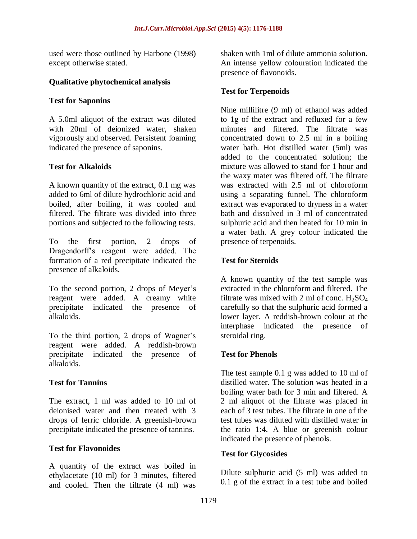used were those outlined by Harbone (1998) except otherwise stated.

### **Qualitative phytochemical analysis**

### **Test for Saponins**

A 5.0ml aliquot of the extract was diluted with 20ml of deionized water, shaken vigorously and observed. Persistent foaming indicated the presence of saponins.

### **Test for Alkaloids**

A known quantity of the extract, 0.1 mg was added to 6ml of dilute hydrochloric acid and boiled, after boiling, it was cooled and filtered. The filtrate was divided into three portions and subjected to the following tests.

To the first portion, 2 drops of Dragendorff's reagent were added. The formation of a red precipitate indicated the presence of alkaloids.

To the second portion, 2 drops of Meyer's reagent were added. A creamy white precipitate indicated the presence of alkaloids.

To the third portion, 2 drops of Wagner's reagent were added. A reddish-brown precipitate indicated the presence of alkaloids.

## **Test for Tannins**

The extract, 1 ml was added to 10 ml of deionised water and then treated with 3 drops of ferric chloride. A greenish-brown precipitate indicated the presence of tannins.

## **Test for Flavonoides**

A quantity of the extract was boiled in ethylacetate (10 ml) for 3 minutes, filtered and cooled. Then the filtrate (4 ml) was

shaken with 1ml of dilute ammonia solution. An intense yellow colouration indicated the presence of flavonoids.

### **Test for Terpenoids**

Nine millilitre (9 ml) of ethanol was added to 1g of the extract and refluxed for a few minutes and filtered. The filtrate was concentrated down to 2.5 ml in a boiling water bath. Hot distilled water (5ml) was added to the concentrated solution; the mixture was allowed to stand for 1 hour and the waxy mater was filtered off. The filtrate was extracted with 2.5 ml of chloroform using a separating funnel. The chloroform extract was evaporated to dryness in a water bath and dissolved in 3 ml of concentrated sulphuric acid and then heated for 10 min in a water bath. A grey colour indicated the presence of terpenoids.

### **Test for Steroids**

A known quantity of the test sample was extracted in the chloroform and filtered. The filtrate was mixed with 2 ml of conc.  $H_2SO_4$ carefully so that the sulphuric acid formed a lower layer. A reddish-brown colour at the interphase indicated the presence of steroidal ring.

## **Test for Phenols**

The test sample 0.1 g was added to 10 ml of distilled water. The solution was heated in a boiling water bath for 3 min and filtered. A 2 ml aliquot of the filtrate was placed in each of 3 test tubes. The filtrate in one of the test tubes was diluted with distilled water in the ratio 1:4. A blue or greenish colour indicated the presence of phenols.

### **Test for Glycosides**

Dilute sulphuric acid (5 ml) was added to 0.1 g of the extract in a test tube and boiled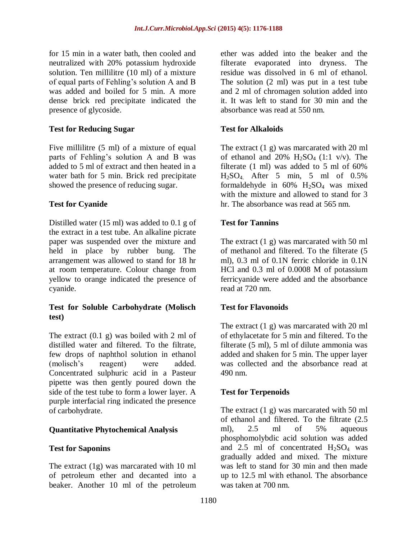for 15 min in a water bath, then cooled and neutralized with 20% potassium hydroxide solution. Ten millilitre (10 ml) of a mixture of equal parts of Fehling's solution A and B was added and boiled for 5 min. A more dense brick red precipitate indicated the presence of glycoside.

### **Test for Reducing Sugar**

Five millilitre (5 ml) of a mixture of equal parts of Fehling's solution A and B was added to 5 ml of extract and then heated in a water bath for 5 min. Brick red precipitate showed the presence of reducing sugar.

### **Test for Cyanide**

Distilled water (15 ml) was added to 0.1 g of the extract in a test tube. An alkaline picrate paper was suspended over the mixture and held in place by rubber bung. The arrangement was allowed to stand for 18 hr at room temperature. Colour change from yellow to orange indicated the presence of cyanide.

### **Test for Soluble Carbohydrate (Molisch test)**

The extract (0.1 g) was boiled with 2 ml of distilled water and filtered. To the filtrate, few drops of naphthol solution in ethanol (molisch's reagent) were added. Concentrated sulphuric acid in a Pasteur pipette was then gently poured down the side of the test tube to form a lower layer. A purple interfacial ring indicated the presence of carbohydrate.

### **Quantitative Phytochemical Analysis**

### **Test for Saponins**

The extract (1g) was marcarated with 10 ml of petroleum ether and decanted into a beaker. Another 10 ml of the petroleum

ether was added into the beaker and the filterate evaporated into dryness. The residue was dissolved in 6 ml of ethanol. The solution (2 ml) was put in a test tube and 2 ml of chromagen solution added into it. It was left to stand for 30 min and the absorbance was read at 550 nm.

### **Test for Alkaloids**

The extract (1 g) was marcarated with 20 ml of ethanol and 20%  $H_2SO_4$  (1:1 v/v). The filterate (1 ml) was added to 5 ml of 60% H2SO4. After 5 min, 5 ml of 0.5% formaldehyde in  $60\%$  H<sub>2</sub>SO<sub>4</sub> was mixed with the mixture and allowed to stand for 3 hr. The absorbance was read at 565 nm.

### **Test for Tannins**

The extract (1 g) was marcarated with 50 ml of methanol and filtered. To the filterate (5 ml), 0.3 ml of 0.1N ferric chloride in 0.1N HCl and 0.3 ml of 0.0008 M of potassium ferricyanide were added and the absorbance read at 720 nm.

### **Test for Flavonoids**

The extract (1 g) was marcarated with 20 ml of ethylacetate for 5 min and filtered. To the filterate (5 ml), 5 ml of dilute ammonia was added and shaken for 5 min. The upper layer was collected and the absorbance read at 490 nm.

### **Test for Terpenoids**

The extract (1 g) was marcarated with 50 ml of ethanol and filtered. To the filtrate (2.5 ml), 2.5 ml of 5% aqueous phosphomolybdic acid solution was added and 2.5 ml of concentrated  $H_2SO_4$  was gradually added and mixed. The mixture was left to stand for 30 min and then made up to 12.5 ml with ethanol. The absorbance was taken at 700 nm.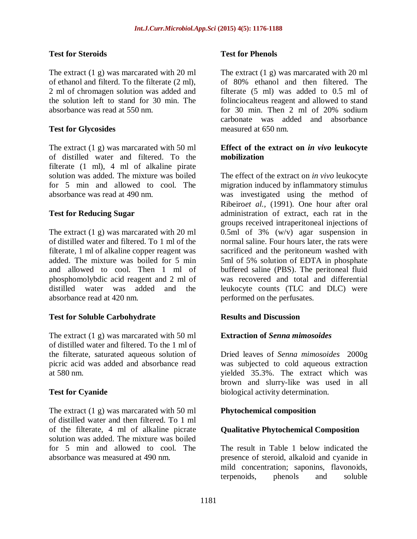### **Test for Steroids**

The extract (1 g) was marcarated with 20 ml of ethanol and filterd. To the filterate (2 ml), 2 ml of chromagen solution was added and the solution left to stand for 30 min. The absorbance was read at 550 nm.

### **Test for Glycosides**

The extract (1 g) was marcarated with 50 ml of distilled water and filtered. To the filterate (1 ml), 4 ml of alkaline pirate solution was added. The mixture was boiled for 5 min and allowed to cool. The absorbance was read at 490 nm.

### **Test for Reducing Sugar**

The extract (1 g) was marcarated with 20 ml of distilled water and filtered. To 1 ml of the filterate, 1 ml of alkaline copper reagent was added. The mixture was boiled for 5 min and allowed to cool. Then 1 ml of phosphomolybdic acid reagent and 2 ml of distilled water was added and the absorbance read at 420 nm.

## **Test for Soluble Carbohydrate**

The extract (1 g) was marcarated with 50 ml of distilled water and filtered. To the 1 ml of the filterate, saturated aqueous solution of picric acid was added and absorbance read at 580 nm.

### **Test for Cyanide**

The extract (1 g) was marcarated with 50 ml of distilled water and then filtered. To 1 ml of the filterate, 4 ml of alkaline picrate solution was added. The mixture was boiled for 5 min and allowed to cool. The absorbance was measured at 490 nm.

#### **Test for Phenols**

The extract (1 g) was marcarated with 20 ml of 80% ethanol and then filtered. The filterate (5 ml) was added to 0.5 ml of folinciocalteus reagent and allowed to stand for 30 min. Then 2 ml of 20% sodium carbonate was added and absorbance measured at 650 nm.

#### **Effect of the extract on** *in vivo* **leukocyte mobilization**

The effect of the extract on *in vivo* leukocyte migration induced by inflammatory stimulus was investigated using the method of Ribeiro*et al.,* (1991). One hour after oral administration of extract, each rat in the groups received intraperitoneal injections of 0.5ml of 3% (w/v) agar suspension in normal saline. Four hours later, the rats were sacrificed and the peritoneum washed with 5ml of 5% solution of EDTA in phosphate buffered saline (PBS). The peritoneal fluid was recovered and total and differential leukocyte counts (TLC and DLC) were performed on the perfusates.

## **Results and Discussion**

### **Extraction of** *Senna mimosoides*

Dried leaves of *Senna mimosoides* 2000g was subjected to cold aqueous extraction yielded 35.3%. The extract which was brown and slurry-like was used in all biological activity determination.

### **Phytochemical composition**

### **Qualitative Phytochemical Composition**

The result in Table 1 below indicated the presence of steroid, alkaloid and cyanide in mild concentration; saponins, flavonoids, terpenoids, phenols and soluble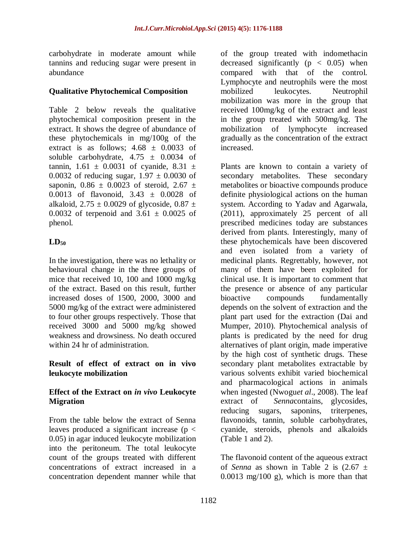carbohydrate in moderate amount while tannins and reducing sugar were present in abundance

### **Qualitative Phytochemical Composition**

Table 2 below reveals the qualitative phytochemical composition present in the extract. It shows the degree of abundance of these phytochemicals in mg/100g of the extract is as follows;  $4.68 \pm 0.0033$  of soluble carbohydrate,  $4.75 \pm 0.0034$  of tannin,  $1.61 \pm 0.0031$  of cyanide,  $8.31 \pm 0.0031$ 0.0032 of reducing sugar,  $1.97 \pm 0.0030$  of saponin,  $0.86 \pm 0.0023$  of steroid,  $2.67 \pm 0.0023$ 0.0013 of flavonoid, 3.43 ± 0.0028 of alkaloid,  $2.75 \pm 0.0029$  of glycoside,  $0.87 \pm$ 0.0032 of terpenoid and  $3.61 \pm 0.0025$  of phenol.

## $LD_{50}$

In the investigation, there was no lethality or behavioural change in the three groups of mice that received 10, 100 and 1000 mg/kg of the extract. Based on this result, further increased doses of 1500, 2000, 3000 and 5000 mg/kg of the extract were administered to four other groups respectively. Those that received 3000 and 5000 mg/kg showed weakness and drowsiness. No death occured within 24 hr of administration.

### **Result of effect of extract on in vivo leukocyte mobilization**

### **Effect of the Extract on** *in vivo* **Leukocyte Migration**

From the table below the extract of Senna leaves produced a significant increase ( $p <$ 0.05) in agar induced leukocyte mobilization into the peritoneum. The total leukocyte count of the groups treated with different concentrations of extract increased in a concentration dependent manner while that

of the group treated with indomethacin decreased significantly  $(p < 0.05)$  when compared with that of the control. Lymphocyte and neutrophils were the most mobilized leukocytes. Neutrophil mobilization was more in the group that received 100mg/kg of the extract and least in the group treated with 500mg/kg. The mobilization of lymphocyte increased gradually as the concentration of the extract increased.

Plants are known to contain a variety of secondary metabolites. These secondary metabolites or bioactive compounds produce definite physiological actions on the human system. According to Yadav and Agarwala, (2011), approximately 25 percent of all prescribed medicines today are substances derived from plants. Interestingly, many of these phytochemicals have been discovered and even isolated from a variety of medicinal plants. Regrettably, however, not many of them have been exploited for clinical use. It is important to comment that the presence or absence of any particular bioactive compounds fundamentally depends on the solvent of extraction and the plant part used for the extraction (Dai and Mumper, 2010). Phytochemical analysis of plants is predicated by the need for drug alternatives of plant origin, made imperative by the high cost of synthetic drugs. These secondary plant metabolites extractable by various solvents exhibit varied biochemical and pharmacological actions in animals when ingested (Nwogu*et al*., 2008). The leaf extract of *Senna*contains, glycosides, reducing sugars, saponins, triterpenes, flavonoids, tannin, soluble carbohydrates, cyanide, steroids, phenols and alkaloids (Table 1 and 2).

The flavonoid content of the aqueous extract of *Senna* as shown in Table 2 is  $(2.67 \pm$  $0.0013$  mg/100 g), which is more than that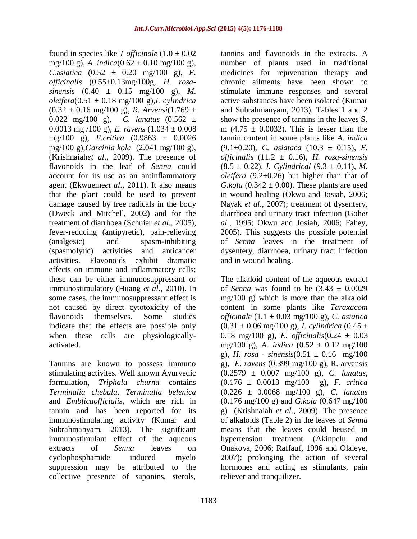found in species like *T officinale*  $(1.0 \pm 0.02)$ mg/100 g), *A. indica*( $0.62 \pm 0.10$  mg/100 g), *C.asiatica*  $(0.52 \pm 0.20 \text{ mg}/100 \text{ g})$ , *E. officinalis* (0.55±0.13mg/100g*, H. rosasinensis* (0.40 ± 0.15 mg/100 g), *M. oleifera*(0.51 ± 0.18 mg/100 g)*,I. cylindrica*  $(0.32 \pm 0.16 \text{ mg}/100 \text{ g})$ , *R. Arvensi* $(1.769 \pm 1.769 \text{ g})$ 0.022 mg/100 g), *C. lanatus* (0.562 ± 0.0013 mg /100 g), *E. ravens*  $(1.034 \pm 0.008)$ mg/100 g), *F.critica* (0.9863 ± 0.0026 mg/100 g),*Garcinia kola* (2.041 mg/100 g), (Krishnaiah*et al*., 2009). The presence of flavonoids in the leaf of *Senna* could account for its use as an antinflammatory agent (Ekwueme*et al*., 2011). It also means that the plant could be used to prevent damage caused by free radicals in the body (Dweck and Mitchell, 2002) and for the treatment of diarrhoea (Schuier *et al.*, 2005), fever-reducing (antipyretic), pain-relieving (analgesic) and spasm-inhibiting (spasmolytic) activities and anticancer activities. Flavonoids exhibit dramatic effects on immune and inflammatory cells; these can be either immunosuppressant or immunostimulatory (Huang *et al*., 2010). In some cases, the immunosuppressant effect is not caused by direct cytotoxicity of the flavonoids themselves. Some studies indicate that the effects are possible only when these cells are physiologicallyactivated.

Tannins are known to possess immuno stimulating activites. Well known Ayurvedic formulation, *Triphala churna* contains *Terminalia chebula*, *Terminalia belenica* and *Emblicaofficialis*, which are rich in tannin and has been reported for its immunostimulating activity (Kumar and Subrahmanyam, 2013). The significant immunostimulant effect of the aqueous extracts of *Senna* leaves on cyclophosphamide induced myelo suppression may be attributed to the collective presence of saponins, sterols,

tannins and flavonoids in the extracts. A number of plants used in traditional medicines for rejuvenation therapy and chronic ailments have been shown to stimulate immune responses and several active substances have been isolated (Kumar and Subrahmanyam, 2013). Tables 1 and 2 show the presence of tannins in the leaves S. m  $(4.75 \pm 0.0032)$ . This is lesser than the tannin content in some plants like *A. indica* (9.1±0.20), *C. asiataca* (10.3 ± 0.15), *E. officinalis* (11.2 ± 0.16), *H. rosa-sinensis*  $(8.5 \pm 0.22)$ , *I. Cylindrical*  $(9.3 \pm 0.11)$ , *M. oleifera* (9.2±0.26) but higher than that of *G.kola* (0.342  $\pm$  0.00). These plants are used in wound healing (Okwu and Josiah, 2006; Nayak *et al*., 2007); treatment of dysentery, diarrhoea and urinary tract infection (Goh*et al*., 1995; Okwu and Josiah, 2006; Fahey, 2005). This suggests the possible potential of *Senna* leaves in the treatment of dysentery, diarrhoea, urinary tract infection and in wound healing.

The alkaloid content of the aqueous extract of *Senna* was found to be  $(3.43 \pm 0.0029)$ mg/100 g) which is more than the alkaloid content in some plants like *Taraxacom officinale* (1.1 ± 0.03 mg/100 g), *C. asiatica*  $(0.31 \pm 0.06 \text{ mg}/100 \text{ g})$ , *I. cylindrica*  $(0.45 \pm 0.06 \text{ mg}/100 \text{ g})$ 0.18 mg/100 g), *E. officinalis*(0.24  $\pm$  0.03 mg/100 g), A*. indica* (0.52 ± 0.12 mg/100 g), *H. rosa - sinensis*( $0.51 \pm 0.16$  mg/ $100$ g), *E. ravens* (0.399 mg/100 g), R. arvensis (0.2579 ± 0.007 mg/100 g), *C. lanatus*, (0.176 ± 0.0013 mg/100 g), *F. critica* (0.226 ± 0.0068 mg/100 g), *C. lanatus* (0.176 mg/100 g) and *G.kola* (0.647 mg/100 g) (Krishnaiah *et al*., 2009). The presence of alkaloids (Table 2) in the leaves of *Senna* means that the leaves could beused in hypertension treatment (Akinpelu and Onakoya, 2006; Raffauf, 1996 and Olaleye, 2007); prolonging the action of several hormones and acting as stimulants, pain reliever and tranquilizer.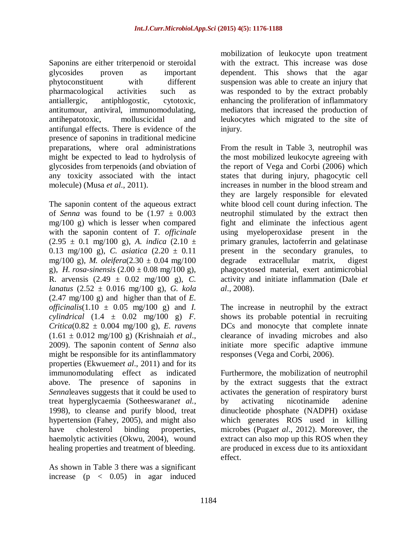Saponins are either triterpenoid or steroidal glycosides proven as important phytoconstituent with different pharmacological activities such as antiallergic, antiphlogostic, cytotoxic, antitumour, antiviral, immunomodulating, antihepatotoxic, molluscicidal and antifungal effects. There is evidence of the presence of saponins in traditional medicine preparations, where oral administrations might be expected to lead to hydrolysis of glycosides from terpenoids (and obviation of any toxicity associated with the intact molecule) (Musa *et al*., 2011).

The saponin content of the aqueous extract of *Senna* was found to be  $(1.97 \pm 0.003)$ mg/100 g) which is lesser when compared with the saponin content of *T. officinale*  $(2.95 \pm 0.1 \text{ mg}/100 \text{ g})$ , *A. indica*  $(2.10 \pm 10^{2})$ 0.13 mg/100 g), *C. asiatica* (2.20 ± 0.11 mg/100 g), *M. oleifera*(2.30 ± 0.04 mg/100 g), *H. rosa-sinensis*  $(2.00 \pm 0.08 \text{ mg}/100 \text{ g})$ , R. arvensis (2.49 ± 0.02 mg/100 g), *C. lanatus* (2.52 ± 0.016 mg/100 g), *G. kola*  $(2.47 \text{ mg}/100 \text{ g})$  and higher than that of *E*. *officinalis*(1.10  $\pm$  0.05 mg/100 g) and *I*. *cylindrical* (1.4 ± 0.02 mg/100 g) *F. Critica*(0.82 ± 0.004 mg/100 g), *E. ravens* (1.61 ± 0.012 mg/100 g) (Krishnaiah *et al*., 2009). The saponin content of *Senna* also might be responsible for its antinflammatory properties (Ekwueme*et al*., 2011) and for its immunomodulating effect as indicated above. The presence of saponins in *Senna*leaves suggests that it could be used to treat hyperglycaemia (Sotheeswaran*et al.*, 1998), to cleanse and purify blood, treat hypertension (Fahey, 2005), and might also have cholesterol binding properties, haemolytic activities (Okwu, 2004), wound healing properties and treatment of bleeding.

As shown in Table 3 there was a significant increase  $(p \lt 0.05)$  in agar induced mobilization of leukocyte upon treatment with the extract. This increase was dose dependent. This shows that the agar suspension was able to create an injury that was responded to by the extract probably enhancing the proliferation of inflammatory mediators that increased the production of leukocytes which migrated to the site of injury.

From the result in Table 3, neutrophil was the most mobilized leukocyte agreeing with the report of Vega and Corbi (2006) which states that during injury, phagocytic cell increases in number in the blood stream and they are largely responsible for elevated white blood cell count during infection. The neutrophil stimulated by the extract then fight and eliminate the infectious agent using myeloperoxidase present in the primary granules, lactoferrin and gelatinase present in the secondary granules, to degrade extracellular matrix, digest phagocytosed material, exert antimicrobial activity and initiate inflammation (Dale *et al*., 2008).

The increase in neutrophil by the extract shows its probable potential in recruiting DCs and monocyte that complete innate clearance of invading microbes and also initiate more specific adaptive immune responses (Vega and Corbi, 2006).

Furthermore, the mobilization of neutrophil by the extract suggests that the extract activates the generation of respiratory burst by activating nicotinamide adenine dinucleotide phosphate (NADPH) oxidase which generates ROS used in killing microbes (Puga*et al*., 2012). Moreover, the extract can also mop up this ROS when they are produced in excess due to its antioxidant effect.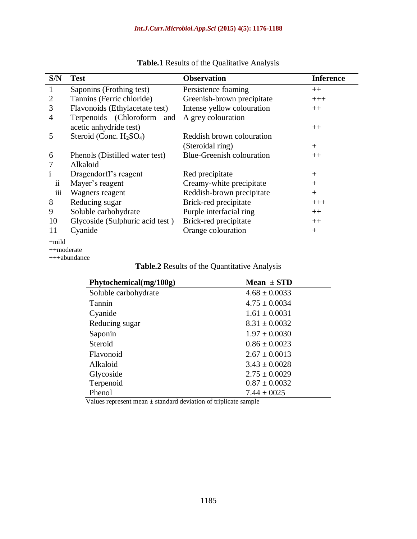| S/N            | <b>Test</b>                     | <b>Observation</b>               | <b>Inference</b> |
|----------------|---------------------------------|----------------------------------|------------------|
| $\mathbf{1}$   | Saponins (Frothing test)        | Persistence foaming              | $++$             |
| $\overline{2}$ | Tannins (Ferric chloride)       | Greenish-brown precipitate       | $+++$            |
| 3              | Flavonoids (Ethylacetate test)  | Intense yellow colouration       | $++$             |
| 4              | Terpenoids (Chloroform and      | A grey colouration               |                  |
|                | acetic anhydride test)          |                                  | $++$             |
| 5              | Steroid (Conc. $H_2SO_4$ )      | Reddish brown colouration        |                  |
|                |                                 | (Steroidal ring)                 | $^{+}$           |
| 6              | Phenols (Distilled water test)  | <b>Blue-Greenish colouration</b> | $++$             |
| 7              | Alkaloid                        |                                  |                  |
|                | Dragendorff's reagent           | Red precipitate                  | $^{+}$           |
| $\ddot{\rm n}$ | Mayer's reagent                 | Creamy-white precipitate         | $+$              |
| iii            | Wagners reagent                 | Reddish-brown precipitate        | $+$              |
| 8              | Reducing sugar                  | Brick-red precipitate            | $+++$            |
| 9              | Soluble carbohydrate            | Purple interfacial ring          | $++$             |
| 10             | Glycoside (Sulphuric acid test) | Brick-red precipitate            | $++$             |
| 11             | Cyanide                         | Orange colouration               | $\pm$            |

## **Table.1** Results of the Qualitative Analysis

+mild

++moderate

+++abundance

|  | Table.2 Results of the Quantitative Analysis |
|--|----------------------------------------------|
|--|----------------------------------------------|

| Phytochemical(mg/100g) | Mean $\pm$ STD                          |
|------------------------|-----------------------------------------|
| Soluble carbohydrate   | $4.68 \pm 0.0033$                       |
| Tannin                 | $4.75 \pm 0.0034$                       |
| Cyanide                | $1.61 \pm 0.0031$                       |
| Reducing sugar         | $8.31 \pm 0.0032$                       |
| Saponin                | $1.97 \pm 0.0030$                       |
| Steroid                | $0.86 \pm 0.0023$                       |
| Flavonoid              | $2.67 \pm 0.0013$                       |
| Alkaloid               | $3.43 \pm 0.0028$                       |
| Glycoside              | $2.75 \pm 0.0029$                       |
| Terpenoid              | $0.87 \pm 0.0032$                       |
| Phenol<br>.<br>.       | $7.44 \pm 0025$<br>$\sim$ $\sim$ $\sim$ |

Values represent mean  $\pm$  standard deviation of triplicate sample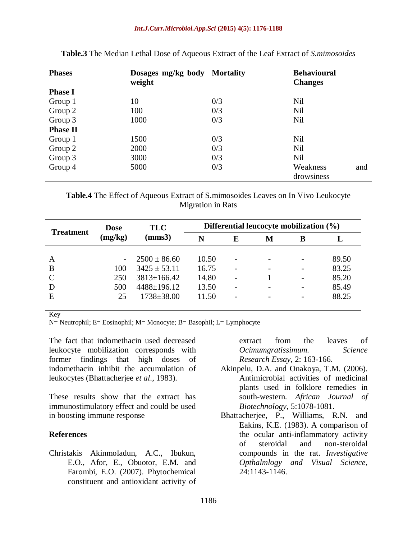| <b>Phases</b>   | Dosages mg/kg body Mortality |     | <b>Behavioural</b> |  |
|-----------------|------------------------------|-----|--------------------|--|
|                 | weight                       |     | <b>Changes</b>     |  |
| <b>Phase I</b>  |                              |     |                    |  |
| Group 1         | 10                           | 0/3 | Nil                |  |
| Group 2         | 100                          | 0/3 | Nil                |  |
| Group 3         | 1000                         | 0/3 | Nil                |  |
| <b>Phase II</b> |                              |     |                    |  |
| Group 1         | 1500                         | 0/3 | <b>Nil</b>         |  |
| Group 2         | 2000                         | 0/3 | Nil                |  |
| Group 3         | 3000                         | 0/3 | <b>Nil</b>         |  |
| Group 4         | 5000                         | 0/3 | Weakness<br>and    |  |
|                 |                              |     | drowsiness         |  |

**Table.3** The Median Lethal Dose of Aqueous Extract of the Leaf Extract of *S.mimosoides*

**Table.4** The Effect of Aqueous Extract of S.mimosoides Leaves on In Vivo Leukocyte Migration in Rats

| <b>Treatment</b> | <b>Dose</b><br>(mg/kg)   | <b>TLC</b><br>(mms3) | Differential leucocyte mobilization $(\%)$ |   |   |                          |       |
|------------------|--------------------------|----------------------|--------------------------------------------|---|---|--------------------------|-------|
|                  |                          |                      | N                                          | E | M | В                        |       |
|                  |                          |                      |                                            |   |   |                          |       |
| A                | $\overline{\phantom{0}}$ | $2500 \pm 86.60$     | 10.50                                      |   |   | $\overline{\phantom{a}}$ | 89.50 |
| B                | 100                      | $3425 \pm 53.11$     | 16.75                                      |   |   |                          | 83.25 |
| C                | 250                      | $3813 \pm 166.42$    | 14.80                                      |   |   | $\overline{\phantom{a}}$ | 85.20 |
| D                | 500                      | $4488 \pm 196.12$    | 13.50                                      |   |   | $\overline{\phantom{a}}$ | 85.49 |
| E                | 25                       | $1738 \pm 38.00$     | 11.50                                      |   |   | $\overline{\phantom{0}}$ | 88.25 |
|                  |                          |                      |                                            |   |   |                          |       |

Key

N= Neutrophil; E= Eosinophil; M= Monocyte; B= Basophil; L= Lymphocyte

The fact that indomethacin used decreased leukocyte mobilization corresponds with former findings that high doses of indomethacin inhibit the accumulation of leukocytes (Bhattacherjee *et al*., 1983).

These results show that the extract has immunostimulatory effect and could be used in boosting immune response

#### **References**

Christakis Akinmoladun, A.C., Ibukun, E.O., Afor, E., Obuotor, E.M. and Farombi, E.O. (2007). Phytochemical constituent and antioxidant activity of extract from the leaves of *Ocimumgratissimum. Science Research Essay*, 2: 163-166.

- Akinpelu, D.A. and Onakoya, T.M. (2006). Antimicrobial activities of medicinal plants used in folklore remedies in south-western. *African Journal of Biotechnology*, 5:1078-1081.
- Bhattacherjee, P., Williams, R.N. and Eakins, K.E. (1983). A comparison of the ocular anti-inflammatory activity of steroidal and non-steroidal compounds in the rat. *Investigative Opthalmlogy and Visual Science*, 24:1143-1146.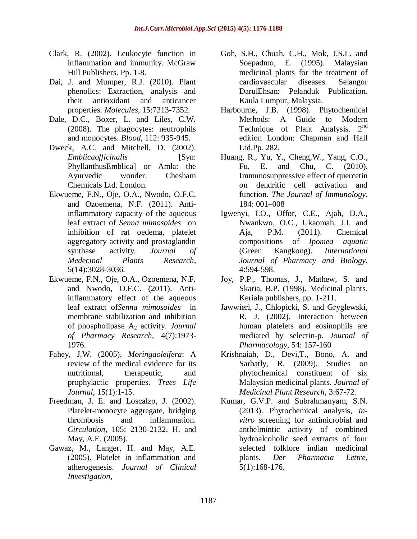- Clark, R. (2002). Leukocyte function in inflammation and immunity. McGraw Hill Publishers. Pp. 1-8.
- Dai, J. and Mumper, R.J. (2010). Plant phenolics: Extraction, analysis and their antioxidant and anticancer properties. *Molecules*, 15:7313-7352.
- Dale, D.C., Boxer, L. and Liles, C.W. (2008). The phagocytes: neutrophils and monocytes. *Blood*, 112: 935-945.
- Dweck, A.C. and Mitchell, D. (2002). *Emblicaofficinalis* [Syn: PhyllanthusEmblica] or Amla: the Ayurvedic wonder. Chesham Chemicals Ltd. London.
- Ekwueme, F.N., Oje, O.A., Nwodo, O.F.C. and Ozoemena, N.F. (2011). Antiinflammatory capacity of the aqueous leaf extract of *Senna mimosoides* on inhibition of rat oedema, platelet aggregatory activity and prostaglandin synthase activity. *Journal of Medecinal Plants Research*, 5(14):3028-3036.
- Ekwueme, F.N., Oje, O.A., Ozoemena, N.F. and Nwodo, O.F.C. (2011). Antiinflammatory effect of the aqueous leaf extract of*Senna mimosoides* in membrane stabilization and inhibition of phospholipase A<sup>2</sup> activity. *Journal of Pharmacy Research*, 4(7):1973- 1976.
- Fahey, J.W. (2005). *Moringaoleifera*: A review of the medical evidence for its nutritional, therapeutic, and prophylactic properties. *Trees Life Journal*, 15(1):1-15.
- Freedman, J. E. and Loscalzo, J. (2002). Platelet-monocyte aggregate, bridging thrombosis and inflammation. *Circulation*, 105: 2130-2132, H. and May, A.E. (2005).
- Gawaz, M., Langer, H. and May, A.E. (2005). Platelet in inflammation and atherogenesis. *Journal of Clinical Investigation*,
- Goh, S.H., Chuah, C.H., Mok, J.S.L. and Soepadmo, E. (1995). Malaysian medicinal plants for the treatment of cardiovascular diseases. Selangor DarulEhsan: Pelanduk Publication. Kaula Lumpur, Malaysia.
- Harbourne, J.B. (1998). Phytochemical Methods: A Guide to Modern Technique of Plant Analysis. 2<sup>nd</sup> edition London: Chapman and Hall Ltd.Pp. 282.
- Huang, R., Yu, Y., Cheng,W., Yang, C.O., Fu, E. and Chu, C. (2010). Immunosuppressive effect of quercetin on dendritic cell activation and function. *The Journal of Immunology*, 184: 001–008
- Igwenyi, I.O., Offor, C.E., Ajah, D.A., Nwankwo, O.C., Ukaomah, J.I. and Aja, P.M. (2011). Chemical compositions of *Ipomea aquatic* (Green Kangkong). *International Journal of Pharmacy and Biology*, 4:594-598.
- Joy, P.P., Thomas, J., Mathew, S. and Skaria, B.P. (1998). Medicinal plants. Keriala publishers, pp. 1-211.
- Jawwieri, J., Chlopicki, S. and Gryglewski, R. J. (2002). Interaction between human platelets and eosinophils are mediated by selectin-p. *Journal of Pharmacology*, 54: 157-160
- Krishnaiah, D., Devi,T., Bono, A. and Sarbatly, R. (2009). Studies on phytochemical constituent of six Malaysian medicinal plants. *Journal of Medicinal Plant Research*, 3:67-72.
- Kumar, G.V.P. and Subrahmanyam, S.N. (2013). Phytochemical analysis*, invitro* screening for antimicrobial and anthelmintic activity of combined hydroalcoholic seed extracts of four selected folklore indian medicinal plants. *Der Pharmacia Lettre*, 5(1):168-176.